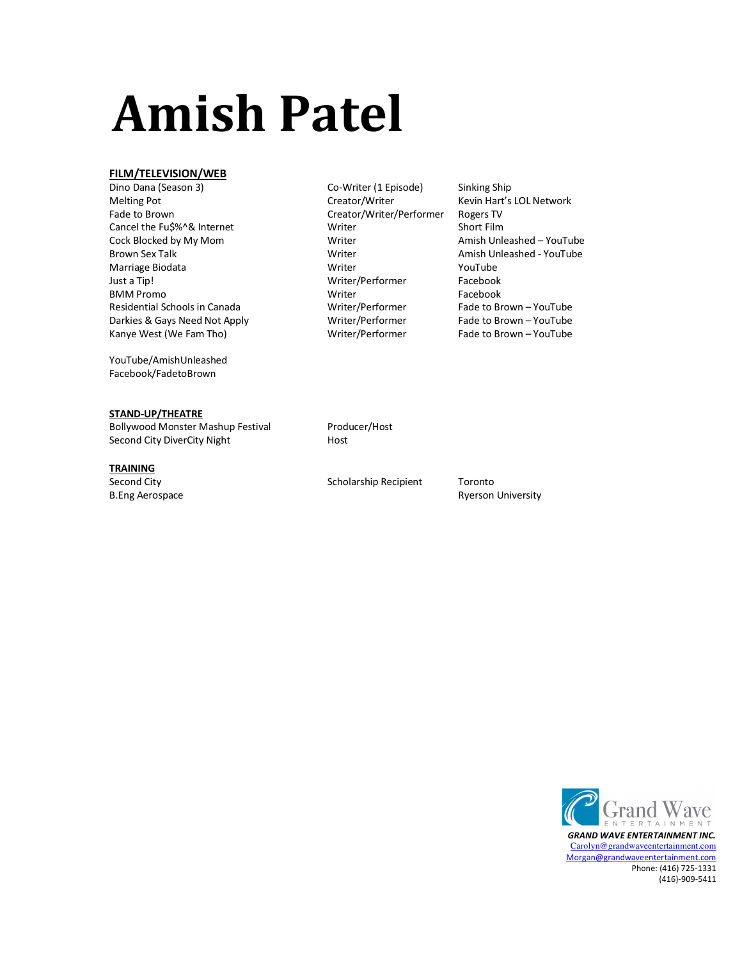# **Amish Patel**

### **FILM/TELEVISION/WEB**

Dino Dana (Season 3) Co-Writer (1 Episode) Sinking Ship Melting Pot **Creator/Writer** Kevin Hart's LOL Network Creator/Writer Kevin Hart's LOL Network Fade to Brown **Creator/Writer/Performer** Rogers TV Cancel the Fu\$%^& Internet Writer Short Film Cock Blocked by My Mom Number 2008 Writer Amish Unleashed – YouTube<br>Brown Sex Talk Communication of Music Communication of Music Communication Amish Unleashed - YouTube Brown Sex Talk **Amish Unleashed - YouTube** Mish Unleashed - YouTube Marriage Biodata **Marriage Biodata** Messenge Controller Writer Marriage Prou Just a Tip! The Contract of the Contract of Muslim Writer/Performer The Facebook BMM Promo **Example 2018** Writer Facebook Writer Facebook Residential Schools in Canada Writer/Performer Fade to Brown – YouTube Darkies & Gays Need Not Apply **Metally State Writer/Performer** Fade to Brown – YouTube Kanye West (We Fam Tho) **Metally Report Contains Writer/Performer** Fade to Brown – YouTube Kanye West (We Fam Tho)

YouTube/AmishUnleashed Facebook/FadetoBrown

### **STAND-UP/THEATRE**

Bollywood Monster Mashup Festival Producer/Host Second City DiverCity Night Host

### **TRAINING**

B.Eng Aerospace **Ryerson University B.Eng Aerospace** Ryerson University

Second City **Second City** Scholarship Recipient Toronto